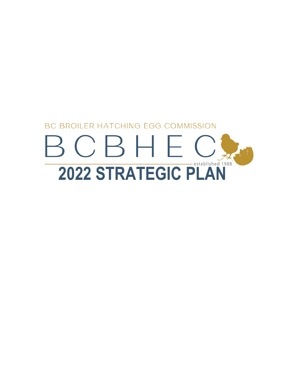# **BC BROILER HATCHING EGG COMMISSION** BCBHEC **2022 STRATEGIC PLAN**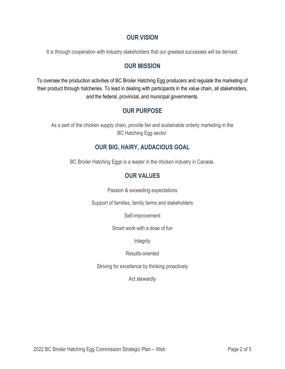### **OUR VISION**

It is through cooperation with industry stakeholders that our greatest successes will be derived.

#### **OUR MISSION**

To oversee the production activities of BC Broiler Hatching Egg producers and regulate the marketing of their product through hatcheries. To lead in dealing with participants in the value chain, all stakeholders, and the federal, provincial, and municipal governments.

# **OUR PURPOSE**

As a part of the chicken supply chain, provide fair and sustainable orderly marketing in the BC Hatching Egg sector.

# **OUR BIG, HAIRY, AUDACIOUS GOAL**

BC Broiler Hatching Eggs is a leader in the chicken industry in Canada.

# **OUR VALUES**

Passion & exceeding expectations

Support of families, family farms and stakeholders

Self-improvement

Smart work with a dose of fun

**Integrity** 

Results-oriented

Striving for excellence by thinking proactively

Act stewardly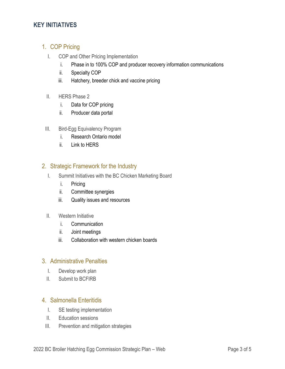### **KEY INITIATIVES**

## 1. COP Pricing

- I. COP and Other Pricing Implementation
	- i. Phase in to 100% COP and producer recovery information communications
	- ii. Specialty COP
	- iii. Hatchery, breeder chick and vaccine pricing
- II. HERS Phase 2
	- i. Data for COP pricing
	- ii. Producer data portal
- III. Bird-Egg Equivalency Program
	- i. Research Ontario model
	- ii. Link to HERS

#### 2. Strategic Framework for the Industry

- I. Summit Initiatives with the BC Chicken Marketing Board
	- i. Pricing
	- ii. Committee synergies
	- iii. Quality issues and resources
- II. Western Initiative
	- i. Communication
	- ii. Joint meetings
	- iii. Collaboration with western chicken boards

#### 3. Administrative Penalties

- I. Develop work plan
- II. Submit to BCFIRB

# 4. Salmonella Enteritidis

- I. SE testing implementation
- II. Education sessions
- III. Prevention and mitigation strategies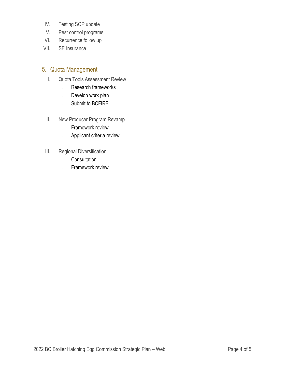- IV. Testing SOP update
- V. Pest control programs
- VI. Recurrence follow up
- VII. SE Insurance

#### 5. Quota Management

- I. Quota Tools Assessment Review
	- i. Research frameworks
	- ii. Develop work plan
	- iii. Submit to BCFIRB
- II. New Producer Program Revamp
	- i. Framework review
	- ii. Applicant criteria review
- III. Regional Diversification
	- i. Consultation
	- ii. Framework review